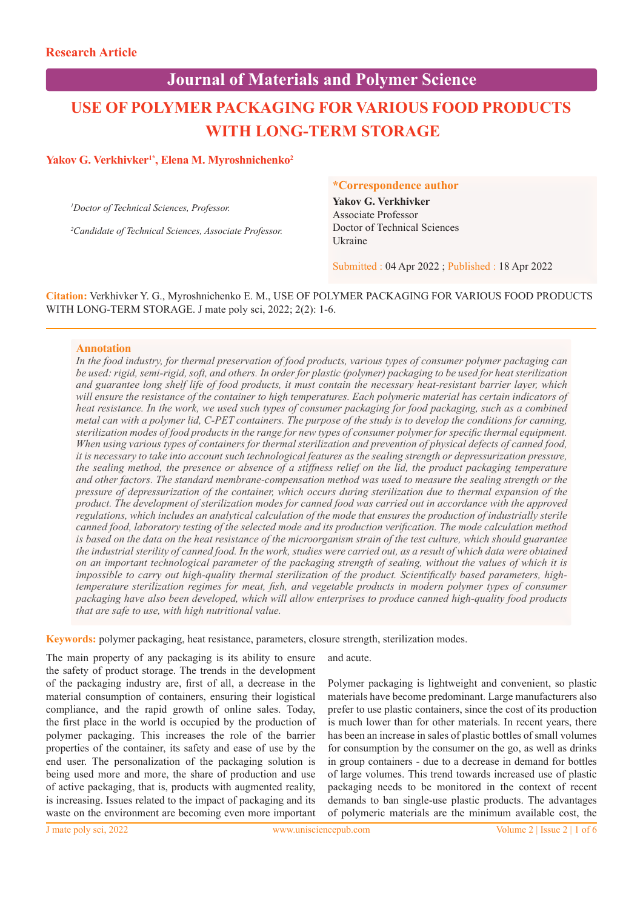# **Journal of Materials and Polymer Science**

# **USE OF POLYMER PACKAGING FOR VARIOUS FOOD PRODUCTS WITH LONG-TERM STORAGE**

# Yakov G. Verkhivker<sup>1\*</sup>, Elena M. Myroshnichenko<sup>2</sup>

*1 Doctor of Technical Sciences, Professor.*

*2 Candidate of Technical Sciences, Associate Professor.*

#### **\*Correspondence author**

**Yakov G. Verkhivker** Associate Professor Doctor of Technical Sciences Ukraine

Submitted : 04 Apr 2022 ; Published : 18 Apr 2022

**Citation:** Verkhivker Y. G., Myroshnichenko E. M., USE OF POLYMER PACKAGING FOR VARIOUS FOOD PRODUCTS WITH LONG-TERM STORAGE. J mate poly sci, 2022; 2(2): 1-6.

#### **Annotation**

*In the food industry, for thermal preservation of food products, various types of consumer polymer packaging can be used: rigid, semi-rigid, soft, and others. In order for plastic (polymer) packaging to be used for heat sterilization and guarantee long shelf life of food products, it must contain the necessary heat-resistant barrier layer, which*  will ensure the resistance of the container to high temperatures. Each polymeric material has certain indicators of *heat resistance. In the work, we used such types of consumer packaging for food packaging, such as a combined metal can with a polymer lid, С-PET containers. The purpose of the study is to develop the conditions for canning, sterilization modes of food products in the range for new types of consumer polymer for specific thermal equipment. When using various types of containers for thermal sterilization and prevention of physical defects of canned food, it is necessary to take into account such technological features as the sealing strength or depressurization pressure, the sealing method, the presence or absence of a stiffness relief on the lid, the product packaging temperature and other factors. The standard membrane-compensation method was used to measure the sealing strength or the pressure of depressurization of the container, which occurs during sterilization due to thermal expansion of the product. The development of sterilization modes for canned food was carried out in accordance with the approved regulations, which includes an analytical calculation of the mode that ensures the production of industrially sterile canned food, laboratory testing of the selected mode and its production verification. The mode calculation method is based on the data on the heat resistance of the microorganism strain of the test culture, which should guarantee the industrial sterility of canned food. In the work, studies were carried out, as a result of which data were obtained on an important technological parameter of the packaging strength of sealing, without the values of which it is impossible to carry out high-quality thermal sterilization of the product. Scientifically based parameters, hightemperature sterilization regimes for meat, fish, and vegetable products in modern polymer types of consumer packaging have also been developed, which will allow enterprises to produce canned high-quality food products that are safe to use, with high nutritional value.*

**Keywords:** polymer packaging, heat resistance, parameters, closure strength, sterilization modes.

The main property of any packaging is its ability to ensure the safety of product storage. The trends in the development of the packaging industry are, first of all, a decrease in the material consumption of containers, ensuring their logistical compliance, and the rapid growth of online sales. Today, the first place in the world is occupied by the production of polymer packaging. This increases the role of the barrier properties of the container, its safety and ease of use by the end user. The personalization of the packaging solution is being used more and more, the share of production and use of active packaging, that is, products with augmented reality, is increasing. Issues related to the impact of packaging and its waste on the environment are becoming even more important

and acute.

Polymer packaging is lightweight and convenient, so plastic materials have become predominant. Large manufacturers also prefer to use plastic containers, since the cost of its production is much lower than for other materials. In recent years, there has been an increase in sales of plastic bottles of small volumes for consumption by the consumer on the go, as well as drinks in group containers - due to a decrease in demand for bottles of large volumes. This trend towards increased use of plastic packaging needs to be monitored in the context of recent demands to ban single-use plastic products. The advantages of polymeric materials are the minimum available cost, the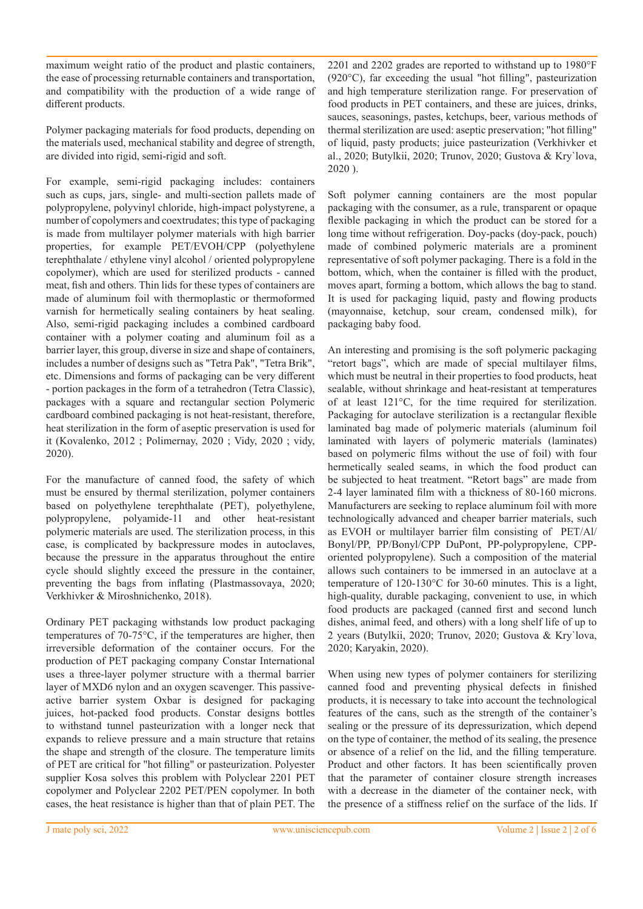maximum weight ratio of the product and plastic containers, the ease of processing returnable containers and transportation, and compatibility with the production of a wide range of different products.

Polymer packaging materials for food products, depending on the materials used, mechanical stability and degree of strength, are divided into rigid, semi-rigid and soft.

For example, semi-rigid packaging includes: containers such as cups, jars, single- and multi-section pallets made of polypropylene, polyvinyl chloride, high-impact polystyrene, a number of copolymers and coextrudates; this type of packaging is made from multilayer polymer materials with high barrier properties, for example PET/EVOH/CPP (polyethylene terephthalate / ethylene vinyl alcohol / oriented polypropylene copolymer), which are used for sterilized products - canned meat, fish and others. Thin lids for these types of containers are made of aluminum foil with thermoplastic or thermoformed varnish for hermetically sealing containers by heat sealing. Also, semi-rigid packaging includes a combined cardboard container with a polymer coating and aluminum foil as a barrier layer, this group, diverse in size and shape of containers, includes a number of designs such as "Tetra Pak", "Tetra Brik", etc. Dimensions and forms of packaging can be very different - portion packages in the form of a tetrahedron (Tetra Classic), packages with a square and rectangular section Polymeric cardboard combined packaging is not heat-resistant, therefore, heat sterilization in the form of aseptic preservation is used for it (Kovalenko, 2012 ; Polimernay, 2020 ; Vidy, 2020 ; vidy, 2020).

For the manufacture of canned food, the safety of which must be ensured by thermal sterilization, polymer containers based on polyethylene terephthalate (PET), polyethylene, polypropylene, polyamide-11 and other heat-resistant polymeric materials are used. The sterilization process, in this case, is complicated by backpressure modes in autoclaves, because the pressure in the apparatus throughout the entire cycle should slightly exceed the pressure in the container, preventing the bags from inflating (Plastmassovaya, 2020; Verkhivker & Miroshnichenko, 2018).

Ordinary PET packaging withstands low product packaging temperatures of 70-75°C, if the temperatures are higher, then irreversible deformation of the container occurs. For the production of PET packaging company Constar International uses a three-layer polymer structure with a thermal barrier layer of MXD6 nylon and an oxygen scavenger. This passiveactive barrier system Oxbar is designed for packaging juices, hot-packed food products. Constar designs bottles to withstand tunnel pasteurization with a longer neck that expands to relieve pressure and a main structure that retains the shape and strength of the closure. The temperature limits of PET are critical for "hot filling" or pasteurization. Polyester supplier Kosa solves this problem with Polyclear 2201 PET copolymer and Polyclear 2202 PET/PEN copolymer. In both cases, the heat resistance is higher than that of plain PET. The

2201 and 2202 grades are reported to withstand up to 1980°F (920°C), far exceeding the usual "hot filling", pasteurization and high temperature sterilization range. For preservation of food products in PET containers, and these are juices, drinks, sauces, seasonings, pastes, ketchups, beer, various methods of thermal sterilization are used: aseptic preservation; "hot filling" of liquid, pasty products; juice pasteurization (Verkhivker et al., 2020; Butylkii, 2020; Trunov, 2020; Gustova & Kry`lova, 2020 ).

Soft polymer canning containers are the most popular packaging with the consumer, as a rule, transparent or opaque flexible packaging in which the product can be stored for a long time without refrigeration. Doy-packs (doy-pack, pouch) made of combined polymeric materials are a prominent representative of soft polymer packaging. There is a fold in the bottom, which, when the container is filled with the product, moves apart, forming a bottom, which allows the bag to stand. It is used for packaging liquid, pasty and flowing products (mayonnaise, ketchup, sour cream, condensed milk), for packaging baby food.

An interesting and promising is the soft polymeric packaging "retort bags", which are made of special multilayer films, which must be neutral in their properties to food products, heat sealable, without shrinkage and heat-resistant at temperatures of at least 121°C, for the time required for sterilization. Packaging for autoclave sterilization is a rectangular flexible laminated bag made of polymeric materials (aluminum foil laminated with layers of polymeric materials (laminates) based on polymeric films without the use of foil) with four hermetically sealed seams, in which the food product can be subjected to heat treatment. "Retort bags" are made from 2-4 layer laminated film with a thickness of 80-160 microns. Manufacturers are seeking to replace aluminum foil with more technologically advanced and cheaper barrier materials, such as EVOH or multilayer barrier film consisting of PET/Al/ Bonyl/PP, PP/Bonyl/CPP DuPont, PP-polypropylene, CPPoriented polypropylene). Such a composition of the material allows such containers to be immersed in an autoclave at a temperature of 120-130°C for 30-60 minutes. This is a light, high-quality, durable packaging, convenient to use, in which food products are packaged (canned first and second lunch dishes, animal feed, and others) with a long shelf life of up to 2 years (Butylkii, 2020; Trunov, 2020; Gustova & Kry`lova, 2020; Karyakin, 2020).

When using new types of polymer containers for sterilizing canned food and preventing physical defects in finished products, it is necessary to take into account the technological features of the cans, such as the strength of the container's sealing or the pressure of its depressurization, which depend on the type of container, the method of its sealing, the presence or absence of a relief on the lid, and the filling temperature. Product and other factors. It has been scientifically proven that the parameter of container closure strength increases with a decrease in the diameter of the container neck, with the presence of a stiffness relief on the surface of the lids. If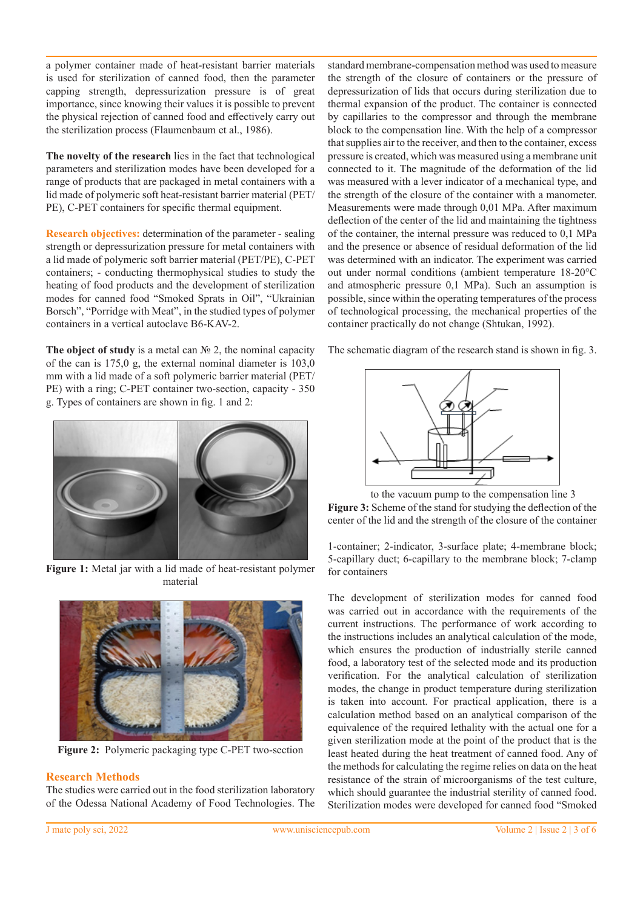a polymer container made of heat-resistant barrier materials is used for sterilization of canned food, then the parameter capping strength, depressurization pressure is of great importance, since knowing their values it is possible to prevent the physical rejection of canned food and effectively carry out the sterilization process (Flaumenbaum et al., 1986).

**The novelty of the research** lies in the fact that technological parameters and sterilization modes have been developed for a range of products that are packaged in metal containers with a lid made of polymeric soft heat-resistant barrier material (PET/ PE), C-PET containers for specific thermal equipment.

**Research objectives:** determination of the parameter - sealing strength or depressurization pressure for metal containers with a lid made of polymeric soft barrier material (PET/PE), C-PET containers; - conducting thermophysical studies to study the heating of food products and the development of sterilization modes for canned food "Smoked Sprats in Oil", "Ukrainian Borsch", "Porridge with Meat", in the studied types of polymer containers in a vertical autoclave B6-KAV-2.

**The object of study** is a metal can № 2, the nominal capacity of the can is 175,0 g, the external nominal diameter is 103,0 mm with a lid made of a soft polymeric barrier material (PET/ PE) with a ring; C-PET container two-section, capacity - 350 g. Types of containers are shown in fig. 1 and 2:



**Figure 1:** Metal jar with a lid made of heat-resistant polymer material



**Figure 2:** Polymeric packaging type С-PET two-section

# **Research Methods**

The studies were carried out in the food sterilization laboratory of the Odessa National Academy of Food Technologies. The

standard membrane-compensation method was used to measure the strength of the closure of containers or the pressure of depressurization of lids that occurs during sterilization due to thermal expansion of the product. The container is connected by capillaries to the compressor and through the membrane block to the compensation line. With the help of a compressor that supplies air to the receiver, and then to the container, excess pressure is created, which was measured using a membrane unit connected to it. The magnitude of the deformation of the lid was measured with a lever indicator of a mechanical type, and the strength of the closure of the container with a manometer. Measurements were made through 0,01 MPa. After maximum deflection of the center of the lid and maintaining the tightness of the container, the internal pressure was reduced to 0,1 MPa and the presence or absence of residual deformation of the lid was determined with an indicator. The experiment was carried out under normal conditions (ambient temperature 18-20°C and atmospheric pressure 0,1 MPa). Such an assumption is possible, since within the operating temperatures of the process of technological processing, the mechanical properties of the container practically do not change (Shtukan, 1992).

The schematic diagram of the research stand is shown in fig. 3.



 to the vacuum pump to the compensation line 3 **Figure 3:** Scheme of the stand for studying the deflection of the center of the lid and the strength of the closure of the container

1-container; 2-indicator, 3-surface plate; 4-membrane block; 5-capillary duct; 6-capillary to the membrane block; 7-clamp for containers

The development of sterilization modes for canned food was carried out in accordance with the requirements of the current instructions. The performance of work according to the instructions includes an analytical calculation of the mode, which ensures the production of industrially sterile canned food, a laboratory test of the selected mode and its production verification. For the analytical calculation of sterilization modes, the change in product temperature during sterilization is taken into account. For practical application, there is a calculation method based on an analytical comparison of the equivalence of the required lethality with the actual one for a given sterilization mode at the point of the product that is the least heated during the heat treatment of canned food. Any of the methods for calculating the regime relies on data on the heat resistance of the strain of microorganisms of the test culture, which should guarantee the industrial sterility of canned food. Sterilization modes were developed for canned food "Smoked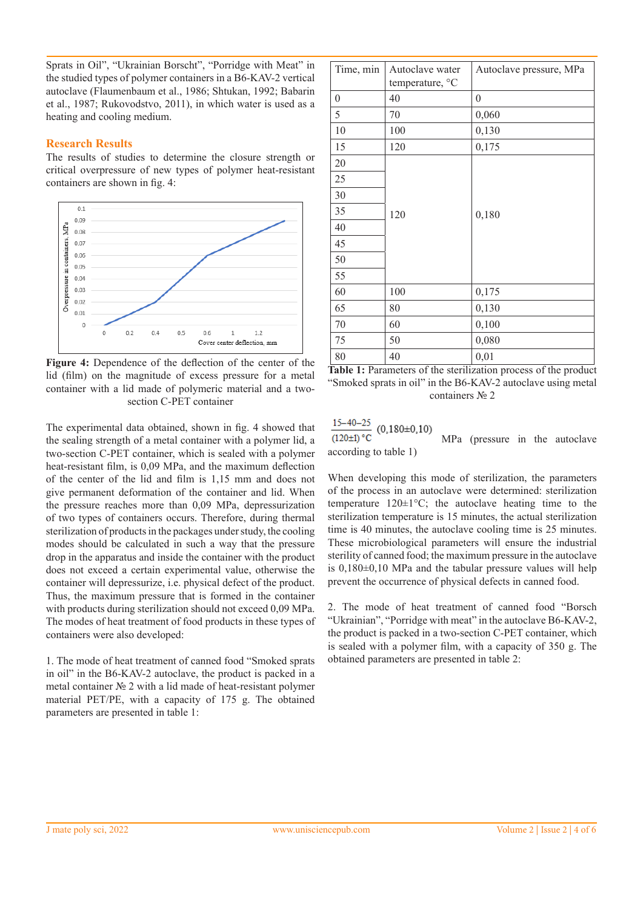Sprats in Oil", "Ukrainian Borscht", "Porridge with Meat" in the studied types of polymer containers in a B6-KAV-2 vertical autoclave (Flaumenbaum et al., 1986; Shtukan, 1992; Babarin et al., 1987; Rukovodstvo, 2011), in which water is used as a heating and cooling medium.

## **Research Results**

The results of studies to determine the closure strength or critical overpressure of new types of polymer heat-resistant containers are shown in fig. 4:



**Figure 4:** Dependence of the deflection of the center of the lid (film) on the magnitude of excess pressure for a metal container with a lid made of polymeric material and a twosection C-PET container

The experimental data obtained, shown in fig. 4 showed that the sealing strength of a metal container with a polymer lid, a two-section C-PET container, which is sealed with a polymer heat-resistant film, is 0,09 MPa, and the maximum deflection of the center of the lid and film is 1,15 mm and does not give permanent deformation of the container and lid. When the pressure reaches more than 0,09 MPa, depressurization of two types of containers occurs. Therefore, during thermal sterilization of products in the packages under study, the cooling modes should be calculated in such a way that the pressure drop in the apparatus and inside the container with the product does not exceed a certain experimental value, otherwise the container will depressurize, i.e. physical defect of the product. Thus, the maximum pressure that is formed in the container with products during sterilization should not exceed 0,09 MPa. The modes of heat treatment of food products in these types of containers were also developed:

1. The mode of heat treatment of canned food "Smoked sprats in oil" in the B6-KAV-2 autoclave, the product is packed in a metal container № 2 with a lid made of heat-resistant polymer material PET/PE, with a capacity of 175 g. The obtained parameters are presented in table 1:

| Time, min        | Autoclave water<br>temperature, °C | Autoclave pressure, MPa |
|------------------|------------------------------------|-------------------------|
| $\boldsymbol{0}$ | 40                                 | $\boldsymbol{0}$        |
| 5                | 70                                 | 0,060                   |
| 10               | 100                                | 0,130                   |
| 15               | 120                                | 0,175                   |
| 20               |                                    |                         |
| 25               |                                    |                         |
| 30               |                                    |                         |
| 35               | 120                                | 0,180                   |
| 40               |                                    |                         |
| 45               |                                    |                         |
| 50               |                                    |                         |
| 55               |                                    |                         |
| 60               | 100                                | 0,175                   |
| 65               | 80                                 | 0,130                   |
| 70               | 60                                 | 0,100                   |
| 75               | 50                                 | 0,080                   |
| 80               | 40                                 | 0,01                    |

**Table 1:** Parameters of the sterilization process of the product "Smoked sprats in oil" in the B6-KAV-2 autoclave using metal containers № 2

 $\frac{15-40-25}{(120\pm1)\degree C}$  $(0,180\pm0,10)$  МРа (pressure in the autoclave according to table 1)

When developing this mode of sterilization, the parameters of the process in an autoclave were determined: sterilization temperature  $120 \pm 1^{\circ}\text{C}$ ; the autoclave heating time to the sterilization temperature is 15 minutes, the actual sterilization time is 40 minutes, the autoclave cooling time is 25 minutes. These microbiological parameters will ensure the industrial sterility of canned food; the maximum pressure in the autoclave is 0,180±0,10 MPa and the tabular pressure values will help prevent the occurrence of physical defects in canned food.

2. The mode of heat treatment of canned food "Borsch "Ukrainian", "Porridge with meat" in the autoclave B6-KAV-2, the product is packed in a two-section C-PET container, which is sealed with a polymer film, with a capacity of 350 g. The obtained parameters are presented in table 2: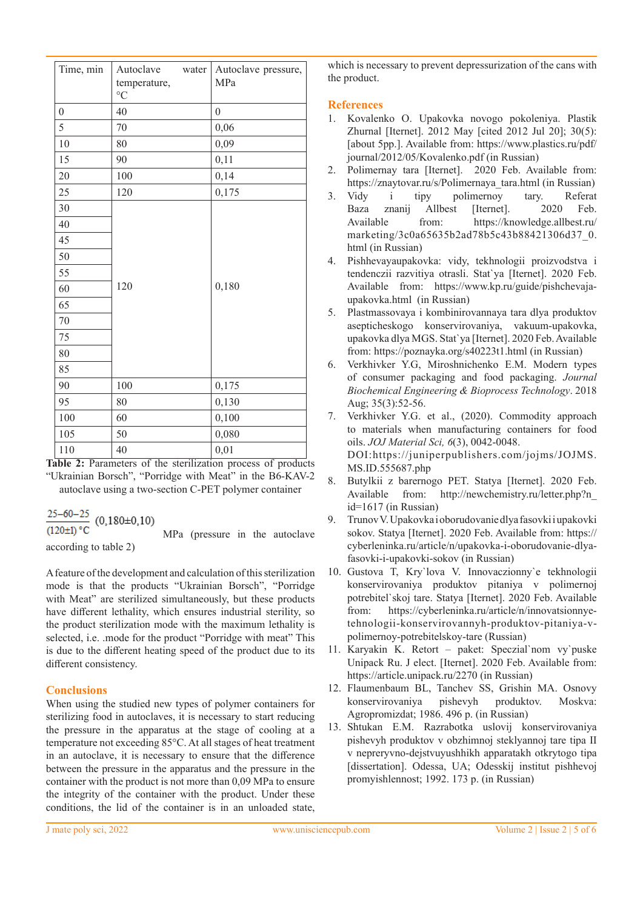| Time, min        | Autoclave<br>water<br>temperature,<br>$\rm ^{\circ}C$ | Autoclave pressure,<br>MPa |
|------------------|-------------------------------------------------------|----------------------------|
| $\boldsymbol{0}$ | 40                                                    | $\overline{0}$             |
| 5                | 70                                                    | 0,06                       |
| 10               | 80                                                    | 0,09                       |
| 15               | 90                                                    | 0,11                       |
| 20               | 100                                                   | 0,14                       |
| 25               | 120                                                   | 0,175                      |
| 30               |                                                       |                            |
| 40               |                                                       |                            |
| 45               |                                                       |                            |
| 50               |                                                       |                            |
| 55               |                                                       |                            |
| 60               | 120                                                   | 0,180                      |
| 65               |                                                       |                            |
| 70               |                                                       |                            |
| 75               |                                                       |                            |
| 80               |                                                       |                            |
| 85               |                                                       |                            |
| 90               | 100                                                   | 0,175                      |
| 95               | 80                                                    | 0,130                      |
| $100\,$          | 60                                                    | 0,100                      |
| 105              | 50                                                    | 0,080                      |
| 110              | 40                                                    | 0,01                       |

**Table 2:** Parameters of the sterilization process of products "Ukrainian Borsch", "Porridge with Meat" in the B6-KAV-2 autoclave using a two-section C-PET polymer container

 $\frac{25-60-25}{(120\pm1) \text{ °C}}$  (0,180±0,10)<br>MPa (pressure in the autoclave

according to table 2)

A feature of the development and calculation of this sterilization mode is that the products "Ukrainian Borsch", "Porridge with Meat" are sterilized simultaneously, but these products have different lethality, which ensures industrial sterility, so the product sterilization mode with the maximum lethality is selected, i.e. .mode for the product "Porridge with meat" This is due to the different heating speed of the product due to its different consistency.

# **Conclusions**

When using the studied new types of polymer containers for sterilizing food in autoclaves, it is necessary to start reducing the pressure in the apparatus at the stage of cooling at a temperature not exceeding 85°C. At all stages of heat treatment in an autoclave, it is necessary to ensure that the difference between the pressure in the apparatus and the pressure in the container with the product is not more than 0,09 MPa to ensure the integrity of the container with the product. Under these conditions, the lid of the container is in an unloaded state, which is necessary to prevent depressurization of the cans with the product.

# **References**

- 1. Kovalenko O. Upakovka novogo pokoleniya. Plastik Zhurnal [Iternet]. 2012 May [cited 2012 Jul 20]; 30(5): [about 5pp.]. Available from: https://www.plastics.ru/pdf/ journal/2012/05/Kovalenko.pdf (in Russian)
- 2. Polimernay tara [Iternet]. 2020 Feb. Available from: https://znaytovar.ru/s/Polimernaya\_tara.html (in Russian)
- 3. Vidy i tipy polimernoy tary. Referat Baza znanij Allbest [Iternet]. 2020 Feb. Available from: https://knowledge.allbest.ru/ marketing/3c0a65635b2ad78b5c43b88421306d37\_0. html (in Russian)
- 4. Pishhevayaupakovka: vidy, tekhnologii proizvodstva i tendenczii razvitiya otrasli. Stat`ya [Iternet]. 2020 Feb. Available from: https://www.kp.ru/guide/pishchevajaupakovka.html (in Russian)
- 5. Plastmassovaya i kombinirovannaya tara dlya produktov asepticheskogo konservirovaniya, vakuum-upakovka, upakovka dlya MGS. Stat`ya [Iternet]. 2020 Feb. Available from: https://poznayka.org/s40223t1.html (in Russian)
- 6. Verkhivker Y.G, Miroshnichenko E.М. Modern types of consumer packaging and food packaging. *Journal Biochemical Engineering & Bioprocess Technology*. 2018 Aug; 35(3):52-56.
- 7. Verkhivker Y.G. et al., (2020). Commodity approach to materials when manufacturing containers for food oils. *JOJ Material Sci, 6*(3), 0042-0048. DOI:https://juniperpublishers.com/jojms/JOJMS. MS.ID.555687.php
- 8. Butylkii z barernogo PET. Statya [Iternet]. 2020 Feb. Available from: http://newchemistry.ru/letter.php?n\_ id=1617 (in Russian)
- 9. Trunov V. Upakovka i oborudovanie dlya fasovki i upakovki sokov. Statya [Iternet]. 2020 Feb. Available from: https:// cyberleninka.ru/article/n/upakovka-i-oborudovanie-dlyafasovki-i-upakovki-sokov (in Russian)
- 10. Gustova T, Kry`lova V. Innovaczionny`e tekhnologii konservirovaniya produktov pitaniya v polimernoj potrebitel`skoj tare. Statya [Iternet]. 2020 Feb. Available from: https://cyberleninka.ru/article/n/innovatsionnyetehnologii-konservirovannyh-produktov-pitaniya-vpolimernoy-potrebitelskoy-tare (Russian)
- 11. Karyakin K. Retort paket: Speczial`nom vy`puske Unipack Ru. J elect. [Iternet]. 2020 Feb. Available from: https://article.unipack.ru/2270 (in Russian)
- 12. Flaumenbaum BL, Tanchev SS, Grishin MA. Osnovy konservirovaniya pishevyh produktov. Moskva: Agropromizdat; 1986. 496 p. (in Russian)
- 13. Shtukan E.M. Razrabotka uslovij konservirovaniya pishevyh produktov v obzhimnoj steklyannoj tare tipa II v nepreryvno-dejstvuyushhikh apparatakh otkrytogo tipa [dissertation]. Odessa, UA; Odesskij institut pishhevoj promyishlennost; 1992. 173 р. (in Russian)